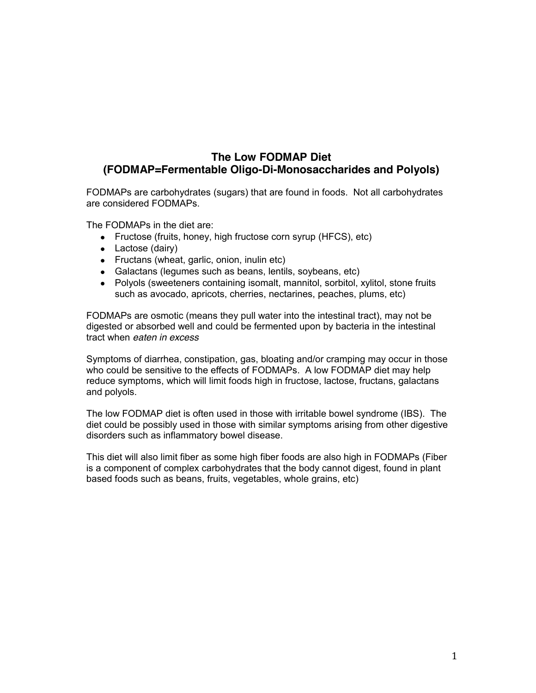# **The Low FODMAP Diet (FODMAP=Fermentable Oligo-Di-Monosaccharides and Polyols)**

FODMAPs are carbohydrates (sugars) that are found in foods. Not all carbohydrates are considered FODMAPs.

The FODMAPs in the diet are:

- Fructose (fruits, honey, high fructose corn syrup (HFCS), etc)
- Lactose (dairy)
- Fructans (wheat, garlic, onion, inulin etc)
- Galactans (legumes such as beans, lentils, soybeans, etc)
- Polyols (sweeteners containing isomalt, mannitol, sorbitol, xylitol, stone fruits such as avocado, apricots, cherries, nectarines, peaches, plums, etc)

FODMAPs are osmotic (means they pull water into the intestinal tract), may not be digested or absorbed well and could be fermented upon by bacteria in the intestinal tract when *eaten in excess*

Symptoms of diarrhea, constipation, gas, bloating and/or cramping may occur in those who could be sensitive to the effects of FODMAPs. A low FODMAP diet may help reduce symptoms, which will limit foods high in fructose, lactose, fructans, galactans and polyols.

The low FODMAP diet is often used in those with irritable bowel syndrome (IBS). The diet could be possibly used in those with similar symptoms arising from other digestive disorders such as inflammatory bowel disease.

This diet will also limit fiber as some high fiber foods are also high in FODMAPs (Fiber is a component of complex carbohydrates that the body cannot digest, found in plant based foods such as beans, fruits, vegetables, whole grains, etc)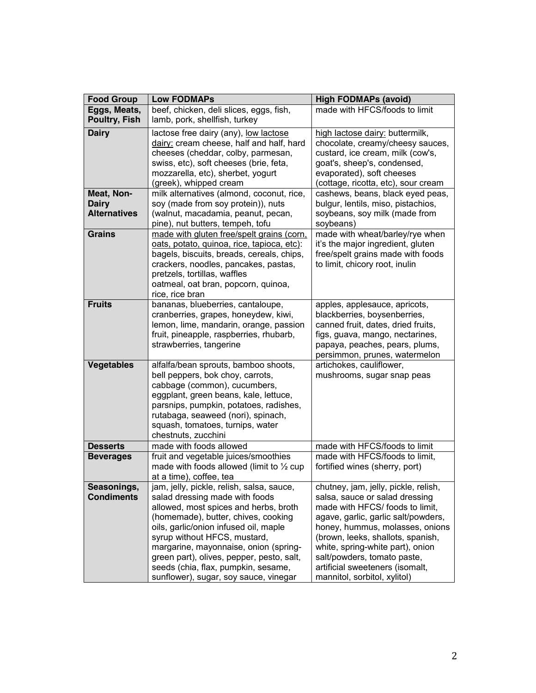| <b>Food Group</b>                                 | <b>Low FODMAPs</b>                                                                                                                                                                                                                                                                                                                                                                                         | <b>High FODMAPs (avoid)</b>                                                                                                                                                                                                                                                                                                                                    |
|---------------------------------------------------|------------------------------------------------------------------------------------------------------------------------------------------------------------------------------------------------------------------------------------------------------------------------------------------------------------------------------------------------------------------------------------------------------------|----------------------------------------------------------------------------------------------------------------------------------------------------------------------------------------------------------------------------------------------------------------------------------------------------------------------------------------------------------------|
| Eggs, Meats,<br>Poultry, Fish                     | beef, chicken, deli slices, eggs, fish,<br>lamb, pork, shellfish, turkey                                                                                                                                                                                                                                                                                                                                   | made with HFCS/foods to limit                                                                                                                                                                                                                                                                                                                                  |
| <b>Dairy</b>                                      | lactose free dairy (any), low lactose<br>dairy: cream cheese, half and half, hard<br>cheeses (cheddar, colby, parmesan,<br>swiss, etc), soft cheeses (brie, feta,<br>mozzarella, etc), sherbet, yogurt<br>(greek), whipped cream                                                                                                                                                                           | high lactose dairy: buttermilk,<br>chocolate, creamy/cheesy sauces,<br>custard, ice cream, milk (cow's,<br>goat's, sheep's, condensed,<br>evaporated), soft cheeses<br>(cottage, ricotta, etc), sour cream                                                                                                                                                     |
| Meat, Non-<br><b>Dairy</b><br><b>Alternatives</b> | milk alternatives (almond, coconut, rice,<br>soy (made from soy protein)), nuts<br>(walnut, macadamia, peanut, pecan,<br>pine), nut butters, tempeh, tofu                                                                                                                                                                                                                                                  | cashews, beans, black eyed peas,<br>bulgur, lentils, miso, pistachios,<br>soybeans, soy milk (made from<br>soybeans)                                                                                                                                                                                                                                           |
| <b>Grains</b>                                     | made with gluten free/spelt grains (corn,<br>oats, potato, quinoa, rice, tapioca, etc):<br>bagels, biscuits, breads, cereals, chips,<br>crackers, noodles, pancakes, pastas,<br>pretzels, tortillas, waffles<br>oatmeal, oat bran, popcorn, quinoa,<br>rice, rice bran                                                                                                                                     | made with wheat/barley/rye when<br>it's the major ingredient, gluten<br>free/spelt grains made with foods<br>to limit, chicory root, inulin                                                                                                                                                                                                                    |
| <b>Fruits</b>                                     | bananas, blueberries, cantaloupe,<br>cranberries, grapes, honeydew, kiwi,<br>lemon, lime, mandarin, orange, passion<br>fruit, pineapple, raspberries, rhubarb,<br>strawberries, tangerine                                                                                                                                                                                                                  | apples, applesauce, apricots,<br>blackberries, boysenberries,<br>canned fruit, dates, dried fruits,<br>figs, guava, mango, nectarines,<br>papaya, peaches, pears, plums,<br>persimmon, prunes, watermelon                                                                                                                                                      |
| <b>Vegetables</b>                                 | alfalfa/bean sprouts, bamboo shoots,<br>bell peppers, bok choy, carrots,<br>cabbage (common), cucumbers,<br>eggplant, green beans, kale, lettuce,<br>parsnips, pumpkin, potatoes, radishes,<br>rutabaga, seaweed (nori), spinach,<br>squash, tomatoes, turnips, water<br>chestnuts, zucchini                                                                                                               | artichokes, cauliflower,<br>mushrooms, sugar snap peas                                                                                                                                                                                                                                                                                                         |
| <b>Desserts</b>                                   | made with foods allowed                                                                                                                                                                                                                                                                                                                                                                                    | made with HFCS/foods to limit                                                                                                                                                                                                                                                                                                                                  |
| <b>Beverages</b>                                  | fruit and vegetable juices/smoothies<br>made with foods allowed (limit to $\frac{1}{2}$ cup<br>at a time), coffee, tea                                                                                                                                                                                                                                                                                     | made with HFCS/foods to limit,<br>fortified wines (sherry, port)                                                                                                                                                                                                                                                                                               |
| Seasonings,<br><b>Condiments</b>                  | jam, jelly, pickle, relish, salsa, sauce,<br>salad dressing made with foods<br>allowed, most spices and herbs, broth<br>(homemade), butter, chives, cooking<br>oils, garlic/onion infused oil, maple<br>syrup without HFCS, mustard,<br>margarine, mayonnaise, onion (spring-<br>green part), olives, pepper, pesto, salt,<br>seeds (chia, flax, pumpkin, sesame,<br>sunflower), sugar, soy sauce, vinegar | chutney, jam, jelly, pickle, relish,<br>salsa, sauce or salad dressing<br>made with HFCS/ foods to limit,<br>agave, garlic, garlic salt/powders,<br>honey, hummus, molasses, onions<br>(brown, leeks, shallots, spanish,<br>white, spring-white part), onion<br>salt/powders, tomato paste,<br>artificial sweeteners (isomalt,<br>mannitol, sorbitol, xylitol) |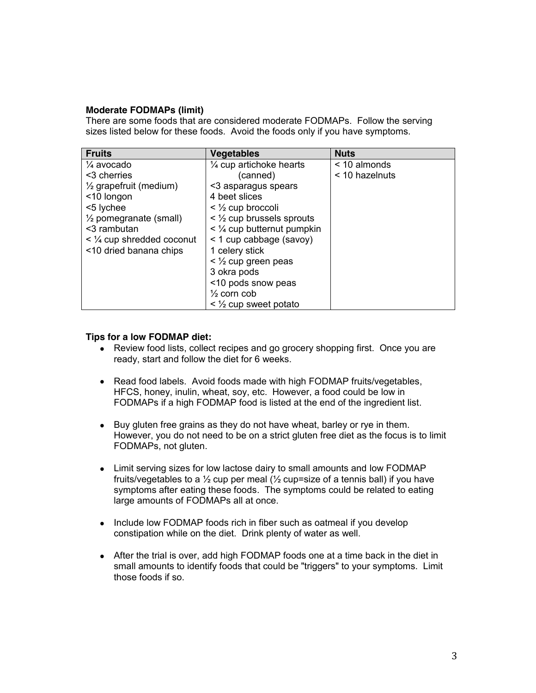## **Moderate FODMAPs (limit)**

There are some foods that are considered moderate FODMAPs. Follow the serving sizes listed below for these foods. Avoid the foods only if you have symptoms.

| <b>Fruits</b>                     | <b>Vegetables</b>                           | <b>Nuts</b>    |
|-----------------------------------|---------------------------------------------|----------------|
| $\frac{1}{4}$ avocado             | 1⁄4 cup artichoke hearts                    | < 10 almonds   |
| <3 cherries                       | (canned)                                    | < 10 hazelnuts |
| $\frac{1}{2}$ grapefruit (medium) | <3 asparagus spears                         |                |
| <10 longon                        | 4 beet slices                               |                |
| <5 lychee                         | $\leq$ $\frac{1}{2}$ cup broccoli           |                |
| $\frac{1}{2}$ pomegranate (small) | $\leq$ 1/ <sub>2</sub> cup brussels sprouts |                |
| <3 rambutan                       | $\leq$ 1/4 cup butternut pumpkin            |                |
| $\leq$ 1/4 cup shredded coconut   | < 1 cup cabbage (savoy)                     |                |
| <10 dried banana chips            | 1 celery stick                              |                |
|                                   | $\leq$ 1/ <sub>2</sub> cup green peas       |                |
|                                   | 3 okra pods                                 |                |
|                                   | <10 pods snow peas                          |                |
|                                   | $\frac{1}{2}$ corn cob                      |                |
|                                   | $\leq$ $\frac{1}{2}$ cup sweet potato       |                |

### **Tips for a low FODMAP diet:**

- Review food lists, collect recipes and go grocery shopping first. Once you are ready, start and follow the diet for 6 weeks.
- Read food labels. Avoid foods made with high FODMAP fruits/vegetables, HFCS, honey, inulin, wheat, soy, etc. However, a food could be low in FODMAPs if a high FODMAP food is listed at the end of the ingredient list.
- Buy gluten free grains as they do not have wheat, barley or rye in them. However, you do not need to be on a strict gluten free diet as the focus is to limit FODMAPs, not gluten.
- Limit serving sizes for low lactose dairy to small amounts and low FODMAP fruits/vegetables to a  $\frac{1}{2}$  cup per meal ( $\frac{1}{2}$  cup=size of a tennis ball) if you have symptoms after eating these foods. The symptoms could be related to eating large amounts of FODMAPs all at once.
- Include low FODMAP foods rich in fiber such as oatmeal if you develop constipation while on the diet. Drink plenty of water as well.
- After the trial is over, add high FODMAP foods one at a time back in the diet in small amounts to identify foods that could be "triggers" to your symptoms. Limit those foods if so.